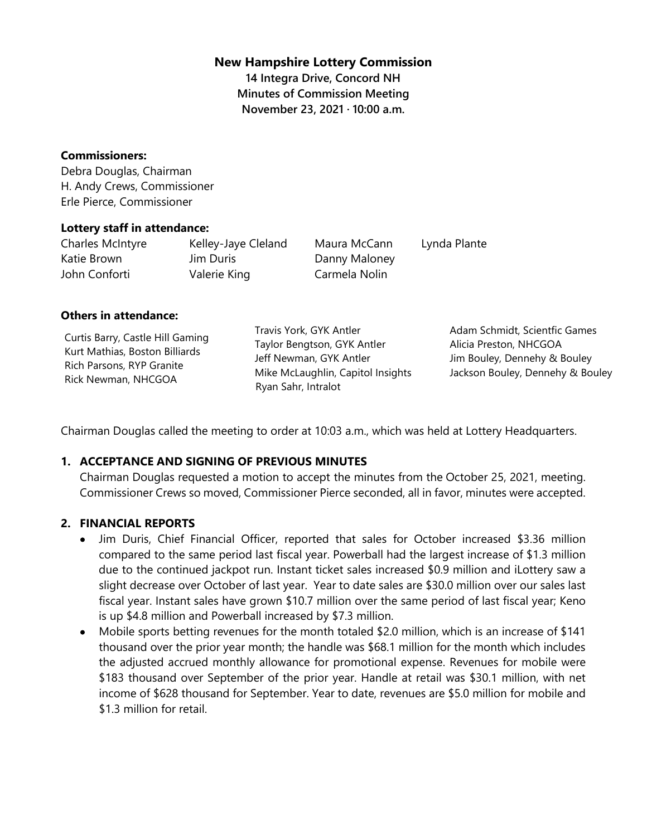### **New Hampshire Lottery Commission**

**14 Integra Drive, Concord NH Minutes of Commission Meeting November 23, 2021 · 10:00 a.m.**

#### **Commissioners:**

Debra Douglas, Chairman H. Andy Crews, Commissioner Erle Pierce, Commissioner

#### **Lottery staff in attendance:**

| Charles McIntyre | Kelley-Jaye Cleland | Maura McCann  | Lynda Plante |
|------------------|---------------------|---------------|--------------|
| Katie Brown      | Jim Duris           | Danny Maloney |              |
| John Conforti    | Valerie King        | Carmela Nolin |              |

#### **Others in attendance:**

Curtis Barry, Castle Hill Gaming Kurt Mathias, Boston Billiards Rich Parsons, RYP Granite Rick Newman, NHCGOA

Travis York, GYK Antler Taylor Bengtson, GYK Antler Jeff Newman, GYK Antler Mike McLaughlin, Capitol Insights Ryan Sahr, Intralot

Adam Schmidt, Scientfic Games Alicia Preston, NHCGOA Jim Bouley, Dennehy & Bouley Jackson Bouley, Dennehy & Bouley

Chairman Douglas called the meeting to order at 10:03 a.m., which was held at Lottery Headquarters.

### **1. ACCEPTANCE AND SIGNING OF PREVIOUS MINUTES**

Chairman Douglas requested a motion to accept the minutes from the October 25, 2021, meeting. Commissioner Crews so moved, Commissioner Pierce seconded, all in favor, minutes were accepted.

### **2. FINANCIAL REPORTS**

- Jim Duris, Chief Financial Officer, reported that sales for October increased \$3.36 million compared to the same period last fiscal year. Powerball had the largest increase of \$1.3 million due to the continued jackpot run. Instant ticket sales increased \$0.9 million and iLottery saw a slight decrease over October of last year. Year to date sales are \$30.0 million over our sales last fiscal year. Instant sales have grown \$10.7 million over the same period of last fiscal year; Keno is up \$4.8 million and Powerball increased by \$7.3 million.
- Mobile sports betting revenues for the month totaled \$2.0 million, which is an increase of \$141 thousand over the prior year month; the handle was \$68.1 million for the month which includes the adjusted accrued monthly allowance for promotional expense. Revenues for mobile were \$183 thousand over September of the prior year. Handle at retail was \$30.1 million, with net income of \$628 thousand for September. Year to date, revenues are \$5.0 million for mobile and \$1.3 million for retail.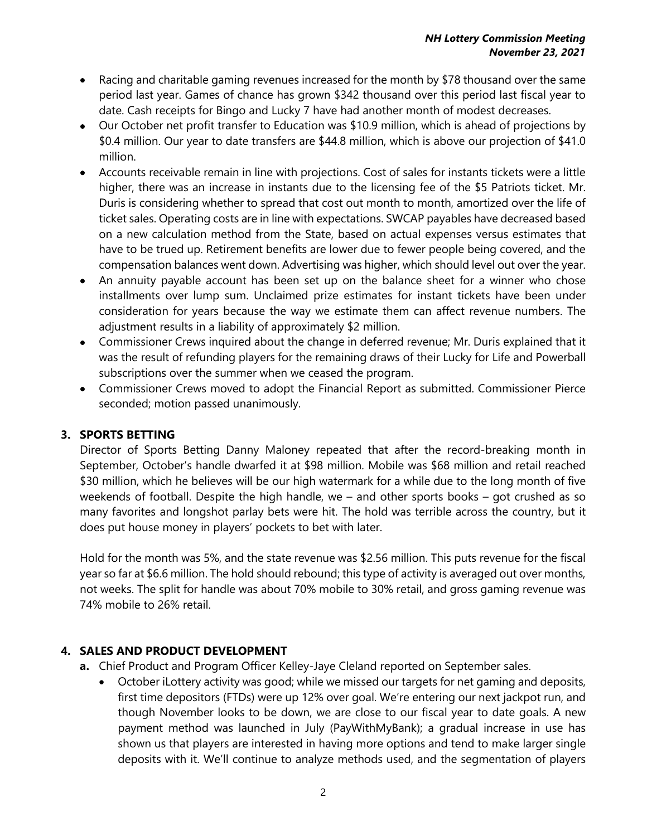- Racing and charitable gaming revenues increased for the month by \$78 thousand over the same period last year. Games of chance has grown \$342 thousand over this period last fiscal year to date. Cash receipts for Bingo and Lucky 7 have had another month of modest decreases.
- Our October net profit transfer to Education was \$10.9 million, which is ahead of projections by \$0.4 million. Our year to date transfers are \$44.8 million, which is above our projection of \$41.0 million.
- Accounts receivable remain in line with projections. Cost of sales for instants tickets were a little higher, there was an increase in instants due to the licensing fee of the \$5 Patriots ticket. Mr. Duris is considering whether to spread that cost out month to month, amortized over the life of ticket sales. Operating costs are in line with expectations. SWCAP payables have decreased based on a new calculation method from the State, based on actual expenses versus estimates that have to be trued up. Retirement benefits are lower due to fewer people being covered, and the compensation balances went down. Advertising was higher, which should level out over the year.
- An annuity payable account has been set up on the balance sheet for a winner who chose installments over lump sum. Unclaimed prize estimates for instant tickets have been under consideration for years because the way we estimate them can affect revenue numbers. The adjustment results in a liability of approximately \$2 million.
- Commissioner Crews inquired about the change in deferred revenue; Mr. Duris explained that it was the result of refunding players for the remaining draws of their Lucky for Life and Powerball subscriptions over the summer when we ceased the program.
- Commissioner Crews moved to adopt the Financial Report as submitted. Commissioner Pierce seconded; motion passed unanimously.

# **3. SPORTS BETTING**

Director of Sports Betting Danny Maloney repeated that after the record-breaking month in September, October's handle dwarfed it at \$98 million. Mobile was \$68 million and retail reached \$30 million, which he believes will be our high watermark for a while due to the long month of five weekends of football. Despite the high handle, we – and other sports books – got crushed as so many favorites and longshot parlay bets were hit. The hold was terrible across the country, but it does put house money in players' pockets to bet with later.

Hold for the month was 5%, and the state revenue was \$2.56 million. This puts revenue for the fiscal year so far at \$6.6 million. The hold should rebound; this type of activity is averaged out over months, not weeks. The split for handle was about 70% mobile to 30% retail, and gross gaming revenue was 74% mobile to 26% retail.

# **4. SALES AND PRODUCT DEVELOPMENT**

- **a.** Chief Product and Program Officer Kelley-Jaye Cleland reported on September sales.
	- October iLottery activity was good; while we missed our targets for net gaming and deposits, first time depositors (FTDs) were up 12% over goal. We're entering our next jackpot run, and though November looks to be down, we are close to our fiscal year to date goals. A new payment method was launched in July (PayWithMyBank); a gradual increase in use has shown us that players are interested in having more options and tend to make larger single deposits with it. We'll continue to analyze methods used, and the segmentation of players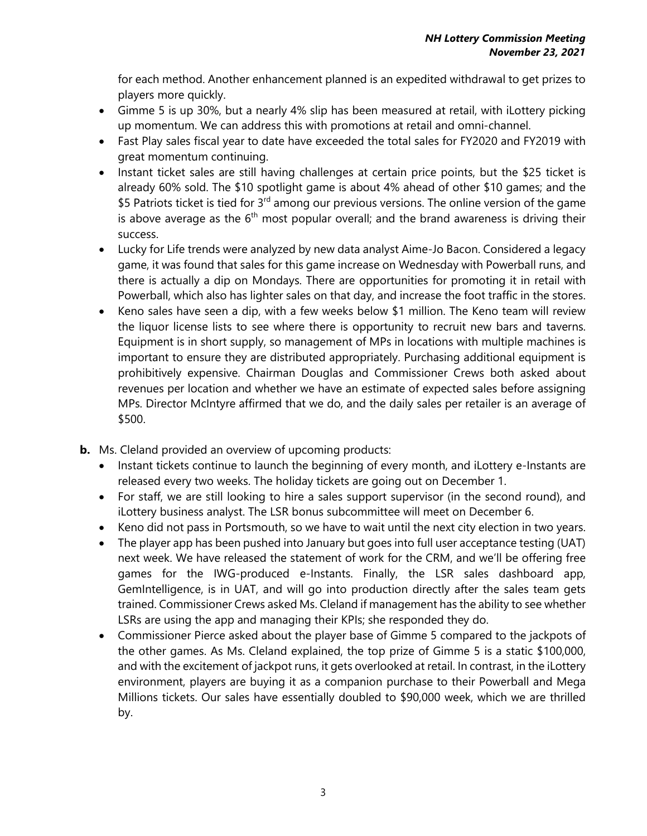for each method. Another enhancement planned is an expedited withdrawal to get prizes to players more quickly.

- Gimme 5 is up 30%, but a nearly 4% slip has been measured at retail, with iLottery picking up momentum. We can address this with promotions at retail and omni-channel.
- Fast Play sales fiscal year to date have exceeded the total sales for FY2020 and FY2019 with great momentum continuing.
- Instant ticket sales are still having challenges at certain price points, but the \$25 ticket is already 60% sold. The \$10 spotlight game is about 4% ahead of other \$10 games; and the \$5 Patriots ticket is tied for  $3<sup>rd</sup>$  among our previous versions. The online version of the game is above average as the  $6<sup>th</sup>$  most popular overall; and the brand awareness is driving their success.
- Lucky for Life trends were analyzed by new data analyst Aime-Jo Bacon. Considered a legacy game, it was found that sales for this game increase on Wednesday with Powerball runs, and there is actually a dip on Mondays. There are opportunities for promoting it in retail with Powerball, which also has lighter sales on that day, and increase the foot traffic in the stores.
- Keno sales have seen a dip, with a few weeks below \$1 million. The Keno team will review the liquor license lists to see where there is opportunity to recruit new bars and taverns. Equipment is in short supply, so management of MPs in locations with multiple machines is important to ensure they are distributed appropriately. Purchasing additional equipment is prohibitively expensive. Chairman Douglas and Commissioner Crews both asked about revenues per location and whether we have an estimate of expected sales before assigning MPs. Director McIntyre affirmed that we do, and the daily sales per retailer is an average of \$500.
- **b.** Ms. Cleland provided an overview of upcoming products:
	- Instant tickets continue to launch the beginning of every month, and iLottery e-Instants are released every two weeks. The holiday tickets are going out on December 1.
	- For staff, we are still looking to hire a sales support supervisor (in the second round), and iLottery business analyst. The LSR bonus subcommittee will meet on December 6.
	- Keno did not pass in Portsmouth, so we have to wait until the next city election in two years.
	- The player app has been pushed into January but goes into full user acceptance testing (UAT) next week. We have released the statement of work for the CRM, and we'll be offering free games for the IWG-produced e-Instants. Finally, the LSR sales dashboard app, GemIntelligence, is in UAT, and will go into production directly after the sales team gets trained. Commissioner Crews asked Ms. Cleland if management has the ability to see whether LSRs are using the app and managing their KPIs; she responded they do.
	- Commissioner Pierce asked about the player base of Gimme 5 compared to the jackpots of the other games. As Ms. Cleland explained, the top prize of Gimme 5 is a static \$100,000, and with the excitement of jackpot runs, it gets overlooked at retail. In contrast, in the iLottery environment, players are buying it as a companion purchase to their Powerball and Mega Millions tickets. Our sales have essentially doubled to \$90,000 week, which we are thrilled by.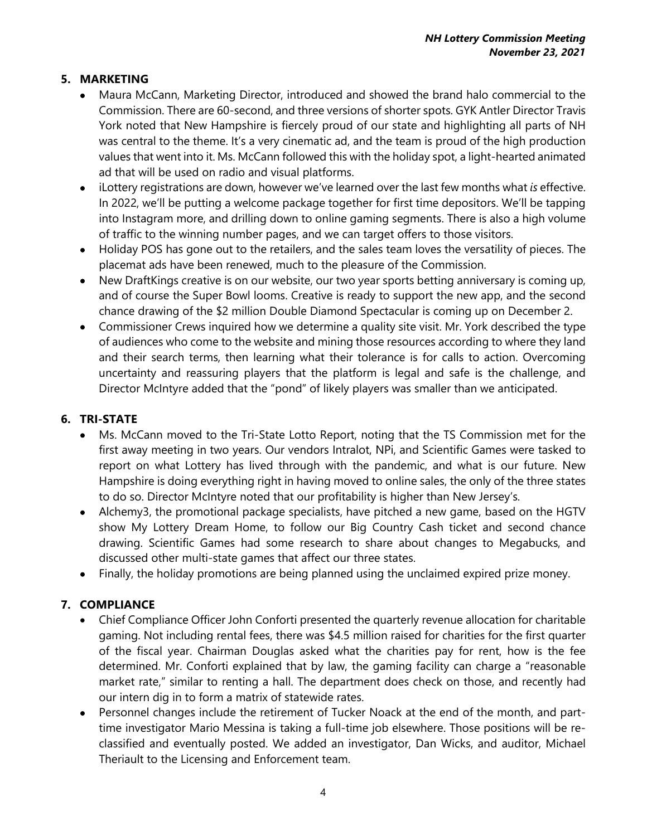# **5. MARKETING**

- Maura McCann, Marketing Director, introduced and showed the brand halo commercial to the Commission. There are 60-second, and three versions of shorter spots. GYK Antler Director Travis York noted that New Hampshire is fiercely proud of our state and highlighting all parts of NH was central to the theme. It's a very cinematic ad, and the team is proud of the high production values that went into it. Ms. McCann followed this with the holiday spot, a light-hearted animated ad that will be used on radio and visual platforms.
- iLottery registrations are down, however we've learned over the last few months what *is* effective. In 2022, we'll be putting a welcome package together for first time depositors. We'll be tapping into Instagram more, and drilling down to online gaming segments. There is also a high volume of traffic to the winning number pages, and we can target offers to those visitors.
- Holiday POS has gone out to the retailers, and the sales team loves the versatility of pieces. The placemat ads have been renewed, much to the pleasure of the Commission.
- New DraftKings creative is on our website, our two year sports betting anniversary is coming up, and of course the Super Bowl looms. Creative is ready to support the new app, and the second chance drawing of the \$2 million Double Diamond Spectacular is coming up on December 2.
- Commissioner Crews inquired how we determine a quality site visit. Mr. York described the type of audiences who come to the website and mining those resources according to where they land and their search terms, then learning what their tolerance is for calls to action. Overcoming uncertainty and reassuring players that the platform is legal and safe is the challenge, and Director McIntyre added that the "pond" of likely players was smaller than we anticipated.

## **6. TRI-STATE**

- Ms. McCann moved to the Tri-State Lotto Report, noting that the TS Commission met for the first away meeting in two years. Our vendors Intralot, NPi, and Scientific Games were tasked to report on what Lottery has lived through with the pandemic, and what is our future. New Hampshire is doing everything right in having moved to online sales, the only of the three states to do so. Director McIntyre noted that our profitability is higher than New Jersey's.
- Alchemy3, the promotional package specialists, have pitched a new game, based on the HGTV show My Lottery Dream Home, to follow our Big Country Cash ticket and second chance drawing. Scientific Games had some research to share about changes to Megabucks, and discussed other multi-state games that affect our three states.
- Finally, the holiday promotions are being planned using the unclaimed expired prize money.

# **7. COMPLIANCE**

- Chief Compliance Officer John Conforti presented the quarterly revenue allocation for charitable gaming. Not including rental fees, there was \$4.5 million raised for charities for the first quarter of the fiscal year. Chairman Douglas asked what the charities pay for rent, how is the fee determined. Mr. Conforti explained that by law, the gaming facility can charge a "reasonable market rate," similar to renting a hall. The department does check on those, and recently had our intern dig in to form a matrix of statewide rates.
- Personnel changes include the retirement of Tucker Noack at the end of the month, and parttime investigator Mario Messina is taking a full-time job elsewhere. Those positions will be reclassified and eventually posted. We added an investigator, Dan Wicks, and auditor, Michael Theriault to the Licensing and Enforcement team.